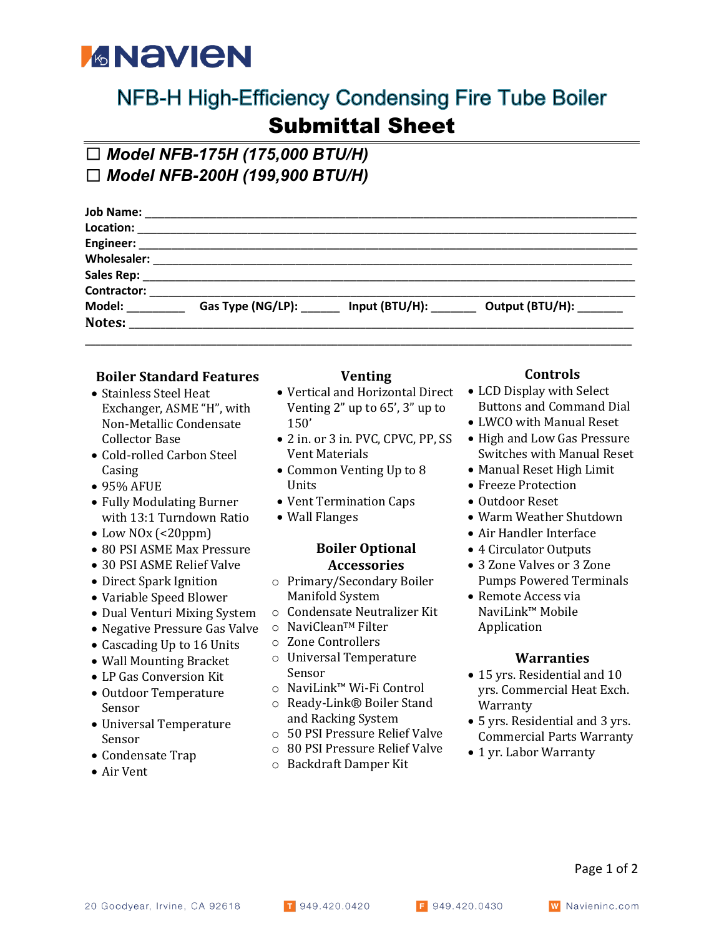# *MANEN*

### NFB-H High-Efficiency Condensing Fire Tube Boiler Submittal Sheet

## ☐ *Model NFB-175H (175,000 BTU/H)*

☐ *Model NFB-200H (199,900 BTU/H)*

|                      | Output (BTU/H): ______              |
|----------------------|-------------------------------------|
|                      |                                     |
|                      |                                     |
| Engineer: __________ | Gas Type (NG/LP):<br>Input (BTU/H): |

### **Boiler Standard Features**

- Stainless Steel Heat Exchanger, ASME "H", with Non-Metallic Condensate Collector Base
- Cold-rolled Carbon Steel Casing
- 95% AFUE
- Fully Modulating Burner with 13:1 Turndown Ratio
- Low NO<sub>x</sub> (<20ppm)
- 80 PSI ASME Max Pressure
- 30 PSI ASME Relief Valve
- Direct Spark Ignition
- Variable Speed Blower
- Dual Venturi Mixing System
- Negative Pressure Gas Valve
- Cascading Up to 16 Units
- Wall Mounting Bracket
- LP Gas Conversion Kit
- Outdoor Temperature Sensor
- Universal Temperature Sensor
- Condensate Trap
- Air Vent

#### **Venting**

- Vertical and Horizontal Direct Venting  $2$ " up to  $65'$ ,  $3''$  up to 150'
- 2 in. or 3 in. PVC, CPVC, PP, SS **Vent Materials**
- Common Venting Up to 8 Units
- Vent Termination Caps
- Wall Flanges

#### **Boiler Optional Accessories**

- o Primary/Secondary Boiler Manifold System
- o Condensate Neutralizer Kit
- o NaviCleanTM Filter
- o Zone Controllers
- o Universal Temperature Sensor
- o NaviLink™ Wi-Fi Control
- o Ready-Link® Boiler Stand and Racking System
- o 50 PSI Pressure Relief Valve
- o 80 PSI Pressure Relief Valve
- o Backdraft Damper Kit

#### **Controls**

- LCD Display with Select Buttons and Command Dial
- LWCO with Manual Reset
- High and Low Gas Pressure Switches with Manual Reset
- Manual Reset High Limit
- Freeze Protection
- Outdoor Reset
- Warm Weather Shutdown
- Air Handler Interface
- 4 Circulator Outputs
- 3 Zone Valves or 3 Zone Pumps Powered Terminals
- Remote Access via NaviLink™ Mobile Application

#### **Warranties**

- 15 yrs. Residential and 10 yrs. Commercial Heat Exch. Warranty
- 5 yrs. Residential and 3 yrs. Commercial Parts Warranty
- 1 yr. Labor Warranty

Page 1 of 2